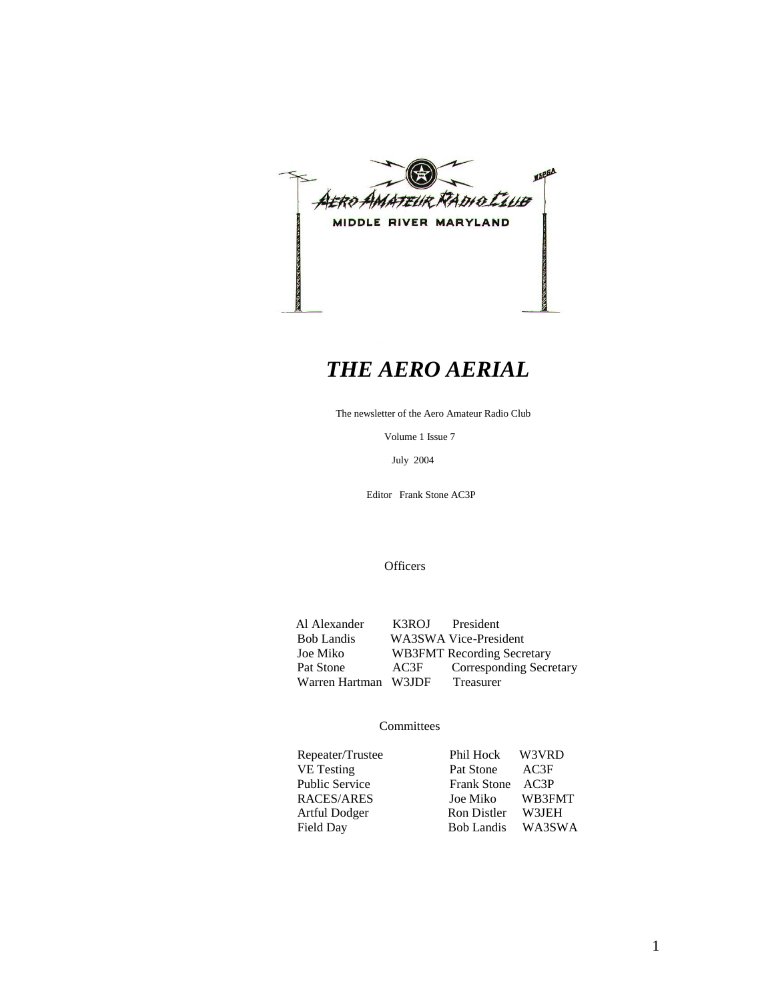

# *THE AERO AERIAL*

The newsletter of the Aero Amateur Radio Club

Volume 1 Issue 7

July 2004

Editor Frank Stone AC3P

**Officers** 

Al Alexander K3ROJ President<br>Bob Landis WA3SWA Vice-Presi Bob Landis WA3SWA Vice-President<br>Joe Miko WB3FMT Recording Secre WB3FMT Recording Secretary Pat Stone AC3F Corresponding Secretary<br>Warren Hartman W3JDF Treasurer Warren Hartman W3JDF

#### **Committees**

| Repeater/Trustee      | Phil Hock W3VRD   |        |
|-----------------------|-------------------|--------|
| <b>VE</b> Testing     | Pat Stone         | AC3F   |
| <b>Public Service</b> | Frank Stone AC3P  |        |
| RACES/ARES            | Joe Miko          | WB3FMT |
| Artful Dodger         | Ron Distler       | W3JEH  |
| Field Day             | Bob Landis WA3SWA |        |
|                       |                   |        |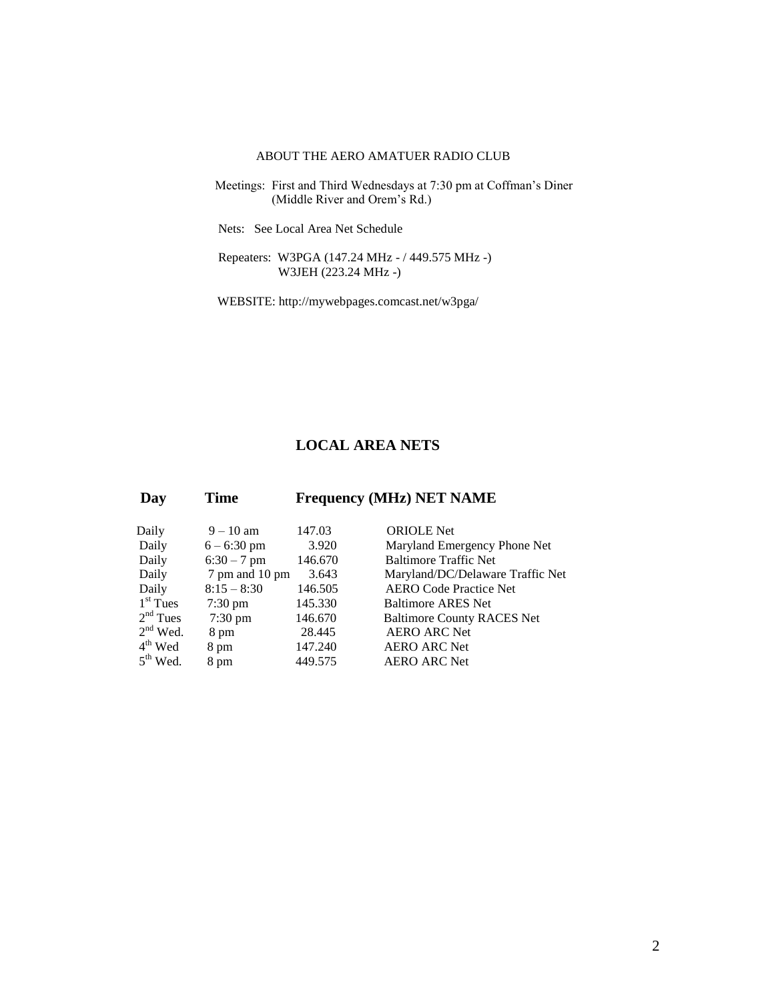#### ABOUT THE AERO AMATUER RADIO CLUB

- Meetings: First and Third Wednesdays at 7:30 pm at Coffman's Diner (Middle River and Orem's Rd.)
	- Nets: See Local Area Net Schedule
	- Repeaters: W3PGA (147.24 MHz / 449.575 MHz -) W3JEH (223.24 MHz -)
	- WEBSITE: http://mywebpages.comcast.net/w3pga/

#### **LOCAL AREA NETS**

| Day        | <b>Time</b>       | <b>Frequency (MHz) NET NAME</b> |                                   |  |
|------------|-------------------|---------------------------------|-----------------------------------|--|
| Daily      | $9 - 10$ am       | 147.03                          | <b>ORIOLE</b> Net                 |  |
| Daily      | $6 - 6:30$ pm     | 3.920                           | Maryland Emergency Phone Net      |  |
| Daily      | $6:30 - 7$ pm     | 146.670                         | <b>Baltimore Traffic Net</b>      |  |
| Daily      | 7 pm and 10 pm    | 3.643                           | Maryland/DC/Delaware Traffic Net  |  |
| Daily      | $8:15 - 8:30$     | 146.505                         | <b>AERO Code Practice Net</b>     |  |
| $1st$ Tues | $7:30 \text{ pm}$ | 145.330                         | <b>Baltimore ARES Net</b>         |  |
| $2nd$ Tues | $7:30 \text{ pm}$ | 146.670                         | <b>Baltimore County RACES Net</b> |  |
| $2nd$ Wed. | 8 pm              | 28.445                          | <b>AERO ARC Net</b>               |  |
| $4th$ Wed  | 8 pm              | 147.240                         | <b>AERO ARC Net</b>               |  |
| $5th$ Wed. | 8 pm              | 449.575                         | <b>AERO ARC Net</b>               |  |
|            |                   |                                 |                                   |  |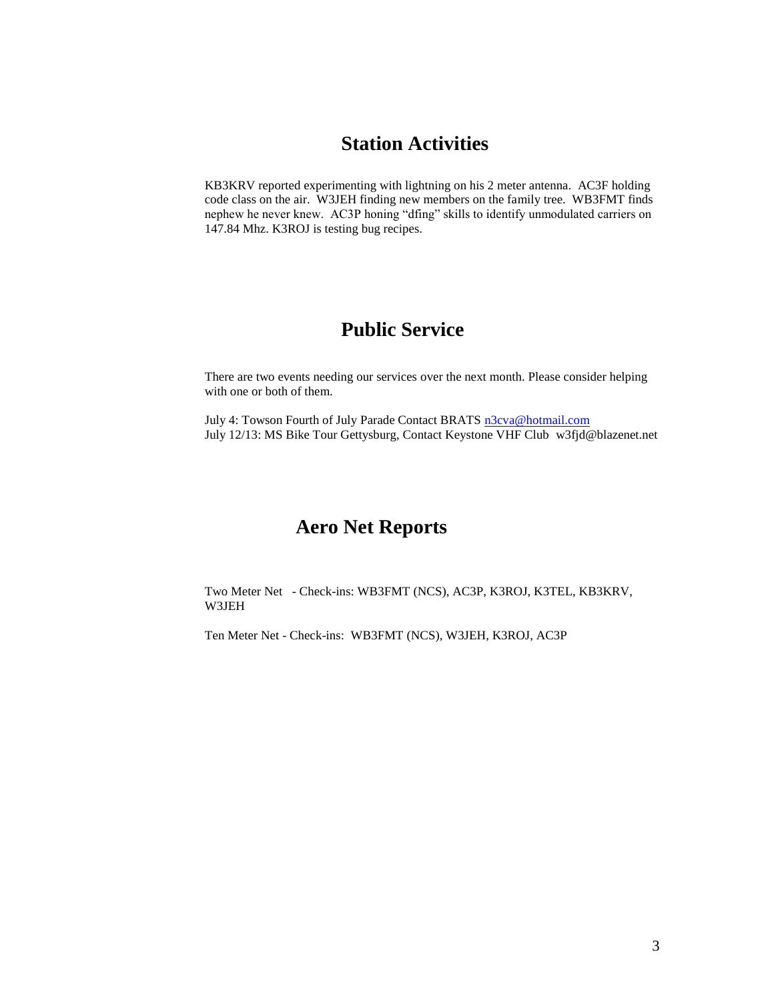### **Station Activities**

KB3KRV reported experimenting with lightning on his 2 meter antenna. AC3F holding code class on the air. W3JEH finding new members on the family tree. WB3FMT finds nephew he never knew. AC3P honing "dfing" skills to identify unmodulated carriers on 147.84 Mhz. K3ROJ is testing bug recipes.

### **Public Service**

There are two events needing our services over the next month. Please consider helping with one or both of them.

July 4: Towson Fourth of July Parade Contact BRATS [n3cva@hotmail.com](mailto:n3cva@hotmail.com) July 12/13: MS Bike Tour Gettysburg, Contact Keystone VHF Club w3fjd@blazenet.net

#### **Aero Net Reports**

Two Meter Net - Check-ins: WB3FMT (NCS), AC3P, K3ROJ, K3TEL, KB3KRV, W3JEH

Ten Meter Net - Check-ins: WB3FMT (NCS), W3JEH, K3ROJ, AC3P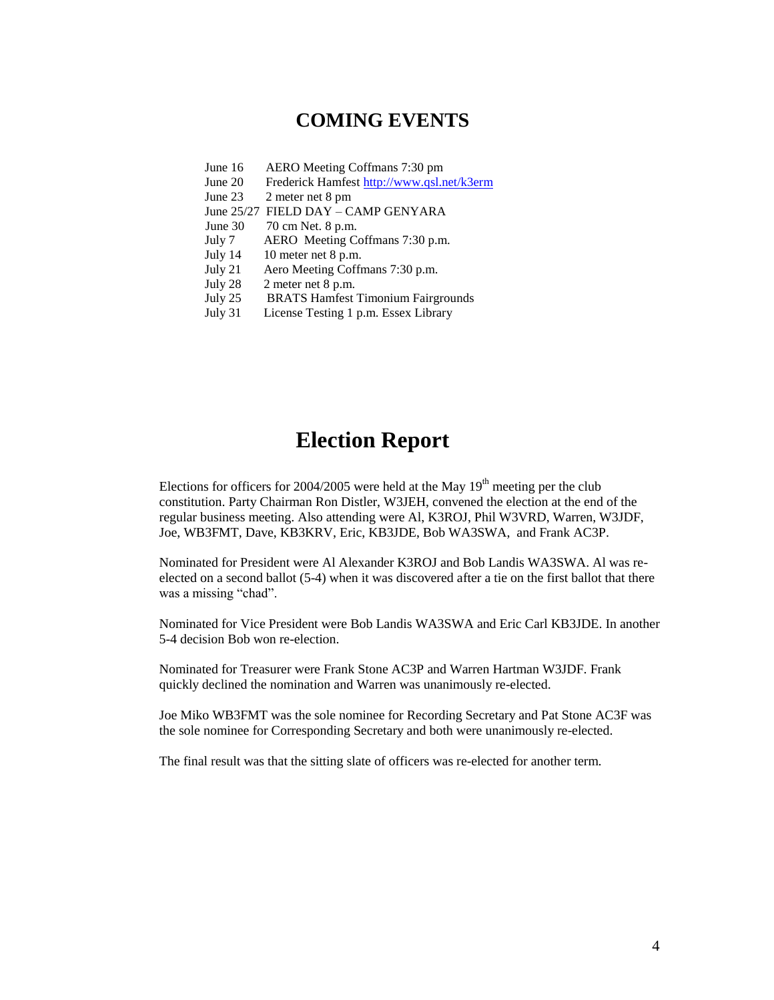### **COMING EVENTS**

- June 16 AERO Meeting Coffmans 7:30 pm
- June 20 Frederick Hamfest<http://www.qsl.net/k3erm>
- June 23 2 meter net 8 pm
- June 25/27 FIELD DAY CAMP GENYARA
- June 30 70 cm Net. 8 p.m.
- July 7 AERO Meeting Coffmans 7:30 p.m.
- July 14 10 meter net 8 p.m.
- July 21 Aero Meeting Coffmans 7:30 p.m.
- July 28 2 meter net 8 p.m.
- July 25 BRATS Hamfest Timonium Fairgrounds
- July 31 License Testing 1 p.m. Essex Library

### **Election Report**

Elections for officers for 2004/2005 were held at the May  $19<sup>th</sup>$  meeting per the club constitution. Party Chairman Ron Distler, W3JEH, convened the election at the end of the regular business meeting. Also attending were Al, K3ROJ, Phil W3VRD, Warren, W3JDF, Joe, WB3FMT, Dave, KB3KRV, Eric, KB3JDE, Bob WA3SWA, and Frank AC3P.

Nominated for President were Al Alexander K3ROJ and Bob Landis WA3SWA. Al was reelected on a second ballot (5-4) when it was discovered after a tie on the first ballot that there was a missing "chad".

Nominated for Vice President were Bob Landis WA3SWA and Eric Carl KB3JDE. In another 5-4 decision Bob won re-election.

Nominated for Treasurer were Frank Stone AC3P and Warren Hartman W3JDF. Frank quickly declined the nomination and Warren was unanimously re-elected.

Joe Miko WB3FMT was the sole nominee for Recording Secretary and Pat Stone AC3F was the sole nominee for Corresponding Secretary and both were unanimously re-elected.

The final result was that the sitting slate of officers was re-elected for another term.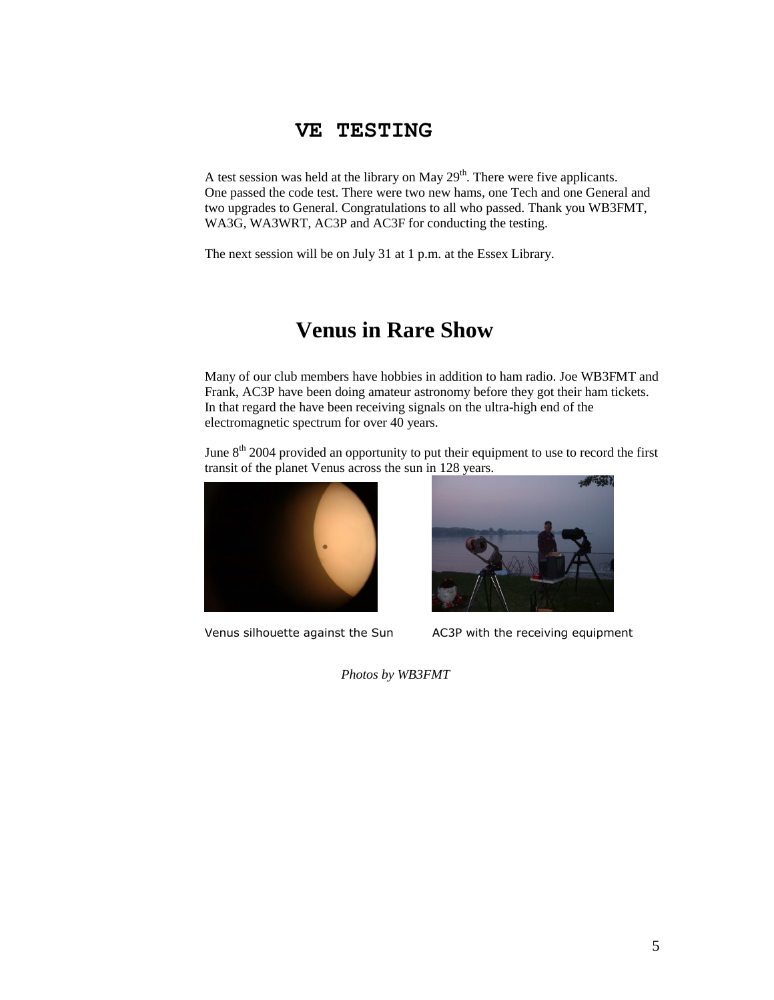#### **VE TESTING**

A test session was held at the library on May  $29<sup>th</sup>$ . There were five applicants. One passed the code test. There were two new hams, one Tech and one General and two upgrades to General. Congratulations to all who passed. Thank you WB3FMT, WA3G, WA3WRT, AC3P and AC3F for conducting the testing.

The next session will be on July 31 at 1 p.m. at the Essex Library.

# **Venus in Rare Show**

Many of our club members have hobbies in addition to ham radio. Joe WB3FMT and Frank, AC3P have been doing amateur astronomy before they got their ham tickets. In that regard the have been receiving signals on the ultra-high end of the electromagnetic spectrum for over 40 years.

June  $8<sup>th</sup>$  2004 provided an opportunity to put their equipment to use to record the first transit of the planet Venus across the sun in 128 years.





Venus silhouette against the Sun AC3P with the receiving equipment

*Photos by WB3FMT*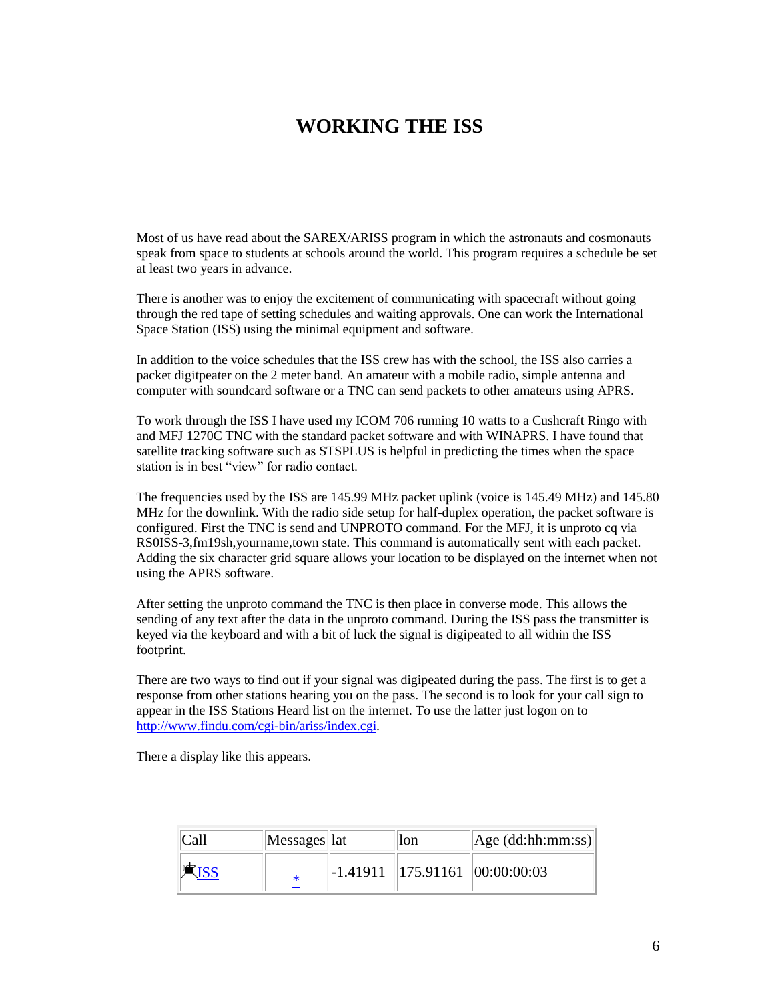### **WORKING THE ISS**

Most of us have read about the SAREX/ARISS program in which the astronauts and cosmonauts speak from space to students at schools around the world. This program requires a schedule be set at least two years in advance.

There is another was to enjoy the excitement of communicating with spacecraft without going through the red tape of setting schedules and waiting approvals. One can work the International Space Station (ISS) using the minimal equipment and software.

In addition to the voice schedules that the ISS crew has with the school, the ISS also carries a packet digitpeater on the 2 meter band. An amateur with a mobile radio, simple antenna and computer with soundcard software or a TNC can send packets to other amateurs using APRS.

To work through the ISS I have used my ICOM 706 running 10 watts to a Cushcraft Ringo with and MFJ 1270C TNC with the standard packet software and with WINAPRS. I have found that satellite tracking software such as STSPLUS is helpful in predicting the times when the space station is in best "view" for radio contact.

The frequencies used by the ISS are 145.99 MHz packet uplink (voice is 145.49 MHz) and 145.80 MHz for the downlink. With the radio side setup for half-duplex operation, the packet software is configured. First the TNC is send and UNPROTO command. For the MFJ, it is unproto cq via RS0ISS-3,fm19sh,yourname,town state. This command is automatically sent with each packet. Adding the six character grid square allows your location to be displayed on the internet when not using the APRS software.

After setting the unproto command the TNC is then place in converse mode. This allows the sending of any text after the data in the unproto command. During the ISS pass the transmitter is keyed via the keyboard and with a bit of luck the signal is digipeated to all within the ISS footprint.

There are two ways to find out if your signal was digipeated during the pass. The first is to get a response from other stations hearing you on the pass. The second is to look for your call sign to appear in the ISS Stations Heard list on the internet. To use the latter just logon on to [http://www.findu.com/cgi-bin/ariss/index.cgi.](http://www.findu.com/cgi-bin/ariss/index.cgi)

There a display like this appears.

| Call | Messages lat | lon | $\vert$ Age (dd:hh:mm:ss) $\vert$              |
|------|--------------|-----|------------------------------------------------|
|      |              |     | $\parallel$ -1.41911   175.91161   00:00:00:03 |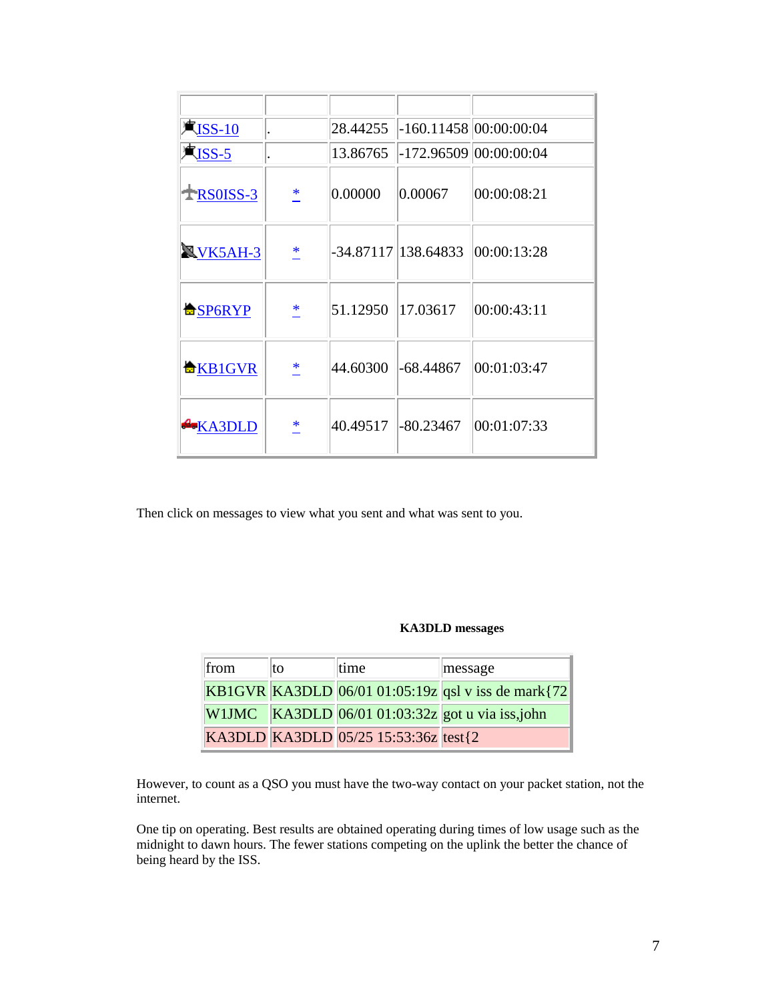| $\mathbb{R}$ ISS-10  |        | 28.44255 |             | $-160.11458$ 00:00:00:04        |
|----------------------|--------|----------|-------------|---------------------------------|
| $\blacksquare$ ISS-5 |        | 13.86765 |             | -172.96509 00:00:00:04          |
| $+$ <b>RS0ISS-3</b>  | $\ast$ | 0.00000  | 0.00067     | 00:00:08:21                     |
| <b>NVK5AH-3</b>      | *      |          |             | -34.87117 138.64833 00:00:13:28 |
| <b>台SP6RYP</b>       | *      | 51.12950 | 17.03617    | 00:00:43:11                     |
| <b>合KB1GVR</b>       | *      | 44.60300 | $-68.44867$ | 00:01:03:47                     |
| <b>EXA3DLD</b>       | ∗      | 40.49517 | $-80.23467$ | 00:01:07:33                     |

Then click on messages to view what you sent and what was sent to you.

#### **KA3DLD messages**

| from | lto. | time                                  | message                                              |
|------|------|---------------------------------------|------------------------------------------------------|
|      |      |                                       | KB1GVR KA3DLD 06/01 01:05:19z qsl v iss de mark {72} |
|      |      |                                       | W1JMC KA3DLD $06/01 01:03:32z$ got u via iss,john    |
|      |      | KA3DLD KA3DLD 05/25 15:53:36z test{2} |                                                      |

However, to count as a QSO you must have the two-way contact on your packet station, not the internet.

One tip on operating. Best results are obtained operating during times of low usage such as the midnight to dawn hours. The fewer stations competing on the uplink the better the chance of being heard by the ISS.